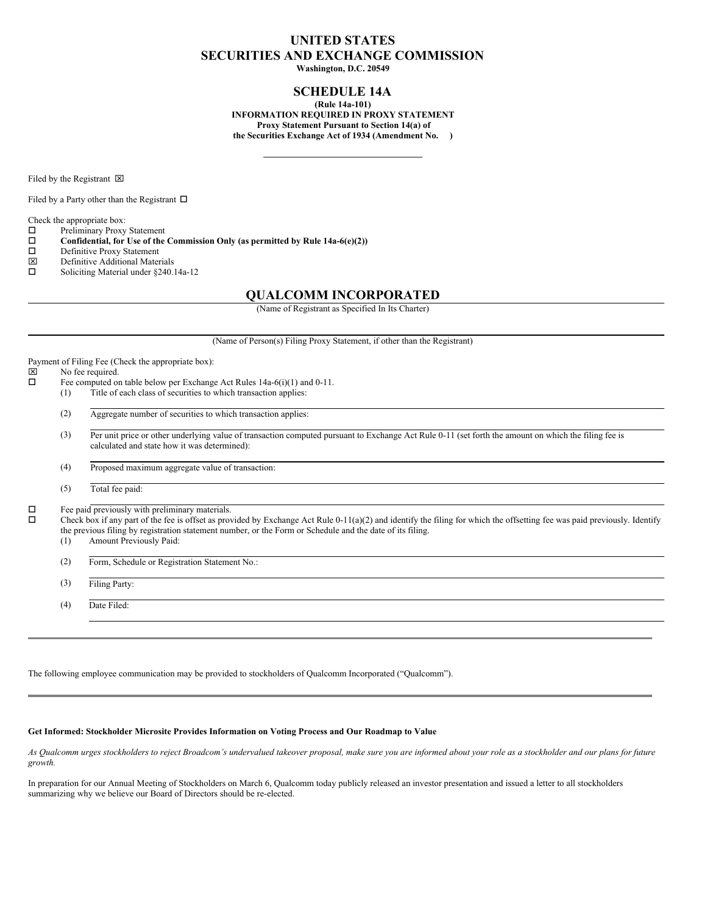# **UNITED STATES SECURITIES AND EXCHANGE COMMISSION**

**Washington, D.C. 20549**

## **SCHEDULE 14A**

**(Rule 14a-101) INFORMATION REQUIRED IN PROXY STATEMENT Proxy Statement Pursuant to Section 14(a) of the Securities Exchange Act of 1934 (Amendment No. )**

Filed by the Registrant  $\boxtimes$ 

Filed by a Party other than the Registrant  $\Box$ 

Check the appropriate box:

 $\square$  Preliminary Proxy Statement<br> $\square$  Confidential, for Use of the

 $\square$  Confidential, for Use of the Commission Only (as permitted by Rule 14a-6(e)(2))<br> $\square$  Definitive Proxy Statement

- □ Definitive Proxy Statement<br> **図** Definitive Additional Mater
- $\boxtimes$  Definitive Additional Materials<br> $\square$  Soliciting Material under \$240.
- Soliciting Material under §240.14a-12

## **QUALCOMM INCORPORATED**

(Name of Registrant as Specified In Its Charter)

(Name of Person(s) Filing Proxy Statement, if other than the Registrant)

Payment of Filing Fee (Check the appropriate box):<br> $\boxtimes$  No fee required.  $\boxtimes$  No fee required.<br> $\square$  Fee computed on Fee computed on table below per Exchange Act Rules 14a-6(i)(1) and 0-11. (1) Title of each class of securities to which transaction applies: (2) Aggregate number of securities to which transaction applies: (3) Per unit price or other underlying value of transaction computed pursuant to Exchange Act Rule 0-11 (set forth the amount on which the filing fee is calculated and state how it was determined): (4) Proposed maximum aggregate value of transaction: (5) Total fee paid:  $\Box$  Fee paid previously with preliminary materials.<br> $\Box$  Check box if any part of the fee is offeet as provided. o Check box if any part of the fee is offset as provided by Exchange Act Rule 0-11(a)(2) and identify the filing for which the offsetting fee was paid previously. Identify the previous filing by registration statement number, or the Form or Schedule and the date of its filing. (1) Amount Previously Paid: (2) Form, Schedule or Registration Statement No.: (3) Filing Party: (4) Date Filed:

The following employee communication may be provided to stockholders of Qualcomm Incorporated ("Qualcomm").

### **Get Informed: Stockholder Microsite Provides Information on Voting Process and Our Roadmap to Value**

As Qualcomm urges stockholders to reject Broadcom's undervalued takeover proposal, make sure you are informed about your role as a stockholder and our plans for future *growth.*

In preparation for our Annual Meeting of Stockholders on March 6, Qualcomm today publicly released an investor presentation and issued a letter to all stockholders summarizing why we believe our Board of Directors should be re-elected.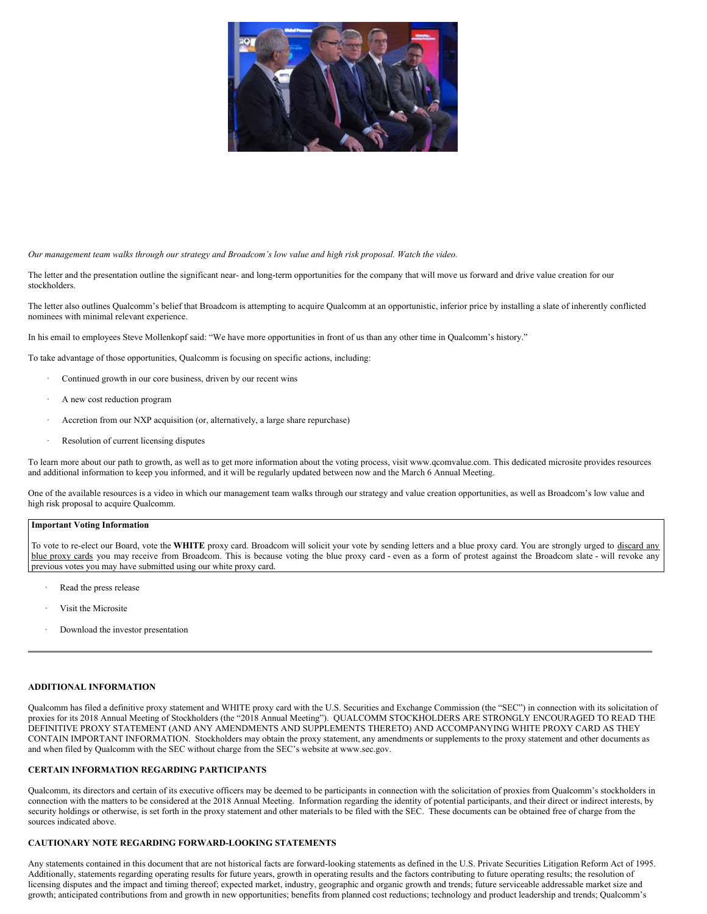

Our management team walks through our strategy and Broadcom's low value and high risk proposal. Watch the video.

The letter and the presentation outline the significant near- and long-term opportunities for the company that will move us forward and drive value creation for our stockholders.

The letter also outlines Qualcomm's belief that Broadcom is attempting to acquire Qualcomm at an opportunistic, inferior price by installing a slate of inherently conflicted nominees with minimal relevant experience.

In his email to employees Steve Mollenkopf said: "We have more opportunities in front of us than any other time in Qualcomm's history."

To take advantage of those opportunities, Qualcomm is focusing on specific actions, including:

- Continued growth in our core business, driven by our recent wins
- A new cost reduction program
- Accretion from our NXP acquisition (or, alternatively, a large share repurchase)
- Resolution of current licensing disputes

To learn more about our path to growth, as well as to get more information about the voting process, visit www.qcomvalue.com. This dedicated microsite provides resources and additional information to keep you informed, and it will be regularly updated between now and the March 6 Annual Meeting.

One of the available resources is a video in which our management team walks through our strategy and value creation opportunities, as well as Broadcom's low value and high risk proposal to acquire Qualcomm.

#### **Important Voting Information**

To vote to re-elect our Board, vote the WHITE proxy card. Broadcom will solicit your vote by sending letters and a blue proxy card. You are strongly urged to discard any blue proxy cards you may receive from Broadcom. This is because voting the blue proxy card - even as a form of protest against the Broadcom slate - will revoke any previous votes you may have submitted using our white proxy card.

- Read the press release
- Visit the Microsite
- Download the investor presentation

### **ADDITIONAL INFORMATION**

Qualcomm has filed a definitive proxy statement and WHITE proxy card with the U.S. Securities and Exchange Commission (the "SEC") in connection with its solicitation of proxies for its 2018 Annual Meeting of Stockholders (the "2018 Annual Meeting"). QUALCOMM STOCKHOLDERS ARE STRONGLY ENCOURAGED TO READ THE DEFINITIVE PROXY STATEMENT (AND ANY AMENDMENTS AND SUPPLEMENTS THERETO) AND ACCOMPANYING WHITE PROXY CARD AS THEY CONTAIN IMPORTANT INFORMATION. Stockholders may obtain the proxy statement, any amendments or supplements to the proxy statement and other documents as and when filed by Qualcomm with the SEC without charge from the SEC's website at www.sec.gov.

#### **CERTAIN INFORMATION REGARDING PARTICIPANTS**

Qualcomm, its directors and certain of its executive officers may be deemed to be participants in connection with the solicitation of proxies from Qualcomm's stockholders in connection with the matters to be considered at the 2018 Annual Meeting. Information regarding the identity of potential participants, and their direct or indirect interests, by security holdings or otherwise, is set forth in the proxy statement and other materials to be filed with the SEC. These documents can be obtained free of charge from the sources indicated above.

## **CAUTIONARY NOTE REGARDING FORWARD-LOOKING STATEMENTS**

Any statements contained in this document that are not historical facts are forward-looking statements as defined in the U.S. Private Securities Litigation Reform Act of 1995. Additionally, statements regarding operating results for future years, growth in operating results and the factors contributing to future operating results; the resolution of licensing disputes and the impact and timing thereof; expected market, industry, geographic and organic growth and trends; future serviceable addressable market size and growth; anticipated contributions from and growth in new opportunities; benefits from planned cost reductions; technology and product leadership and trends; Qualcomm's